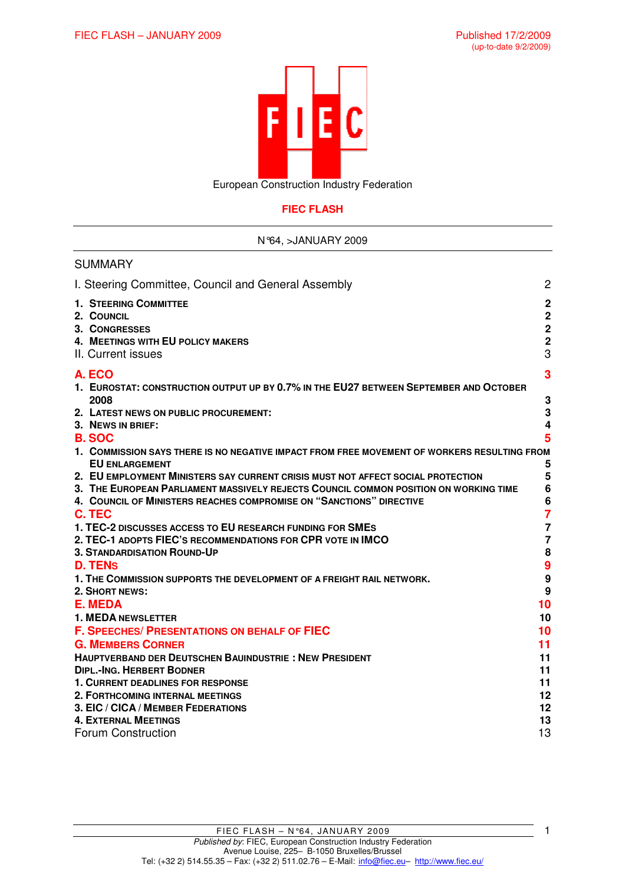

European Construction Industry Federation

# **FIEC FLASH**

### N°64, >JANUARY 2009

| <b>SUMMARY</b>                                                                                                           |                                                                     |
|--------------------------------------------------------------------------------------------------------------------------|---------------------------------------------------------------------|
| I. Steering Committee, Council and General Assembly                                                                      | $\overline{2}$                                                      |
| <b>1. STEERING COMMITTEE</b><br>2. COUNCIL<br>3. CONGRESSES<br>4. MEETINGS WITH EU POLICY MAKERS<br>II. Current issues   | $\mathbf 2$<br>$\mathbf 2$<br>$\overline{2}$<br>$\overline{2}$<br>3 |
| A. ECO                                                                                                                   | 3                                                                   |
| 1. EUROSTAT: CONSTRUCTION OUTPUT UP BY 0.7% IN THE EU27 BETWEEN SEPTEMBER AND OCTOBER                                    |                                                                     |
| 2008                                                                                                                     | 3                                                                   |
| 2. LATEST NEWS ON PUBLIC PROCUREMENT:                                                                                    | 3                                                                   |
| 3. NEWS IN BRIEF:                                                                                                        | 4                                                                   |
| <b>B. SOC</b>                                                                                                            | 5                                                                   |
| 1. COMMISSION SAYS THERE IS NO NEGATIVE IMPACT FROM FREE MOVEMENT OF WORKERS RESULTING FROM                              |                                                                     |
| <b>EU ENLARGEMENT</b>                                                                                                    | 5                                                                   |
| 2. EU EMPLOYMENT MINISTERS SAY CURRENT CRISIS MUST NOT AFFECT SOCIAL PROTECTION                                          | 5                                                                   |
| 3. THE EUROPEAN PARLIAMENT MASSIVELY REJECTS COUNCIL COMMON POSITION ON WORKING TIME                                     | 6                                                                   |
| 4. COUNCIL OF MINISTERS REACHES COMPROMISE ON "SANCTIONS" DIRECTIVE                                                      | 6                                                                   |
| C. TEC                                                                                                                   | $\overline{7}$                                                      |
| 1. TEC-2 DISCUSSES ACCESS TO EU RESEARCH FUNDING FOR SMES<br>2. TEC-1 ADOPTS FIEC'S RECOMMENDATIONS FOR CPR VOTE IN IMCO | $\overline{7}$<br>$\overline{7}$                                    |
| <b>3. STANDARDISATION ROUND-UP</b>                                                                                       | 8                                                                   |
| <b>D. TENS</b>                                                                                                           | 9                                                                   |
| 1. THE COMMISSION SUPPORTS THE DEVELOPMENT OF A FREIGHT RAIL NETWORK.                                                    | 9                                                                   |
| 2. SHORT NEWS:                                                                                                           | 9                                                                   |
| <b>E. MEDA</b>                                                                                                           | 10                                                                  |
| <b>1. MEDA NEWSLETTER</b>                                                                                                | 10                                                                  |
| <b>F. SPEECHES/ PRESENTATIONS ON BEHALF OF FIEC</b>                                                                      | 10                                                                  |
| <b>G. MEMBERS CORNER</b>                                                                                                 | 11                                                                  |
| <b>HAUPTVERBAND DER DEUTSCHEN BAUINDUSTRIE: NEW PRESIDENT</b>                                                            | 11                                                                  |
| <b>DIPL.-ING. HERBERT BODNER</b>                                                                                         | 11                                                                  |
| 1. CURRENT DEADLINES FOR RESPONSE                                                                                        | 11                                                                  |
| 2. FORTHCOMING INTERNAL MEETINGS                                                                                         | 12                                                                  |
| 3. EIC / CICA / MEMBER FEDERATIONS                                                                                       | 12                                                                  |
| <b>4. EXTERNAL MEETINGS</b>                                                                                              | 13                                                                  |
| <b>Forum Construction</b>                                                                                                | 13                                                                  |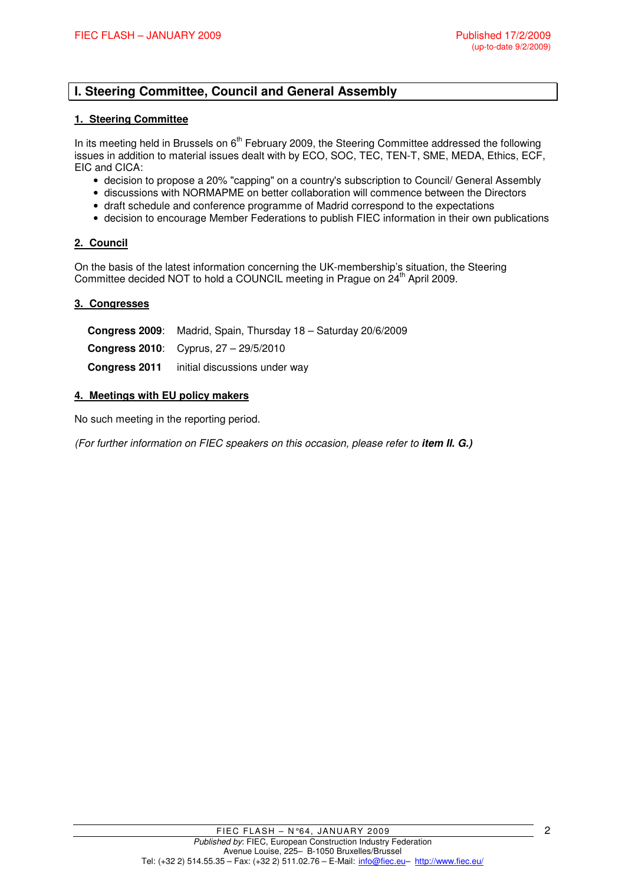# **I. Steering Committee, Council and General Assembly**

### **1. Steering Committee**

In its meeting held in Brussels on 6<sup>th</sup> February 2009, the Steering Committee addressed the following issues in addition to material issues dealt with by ECO, SOC, TEC, TEN-T, SME, MEDA, Ethics, ECF, EIC and CICA:

- decision to propose a 20% "capping" on a country's subscription to Council/ General Assembly
- discussions with NORMAPME on better collaboration will commence between the Directors
- draft schedule and conference programme of Madrid correspond to the expectations
- decision to encourage Member Federations to publish FIEC information in their own publications

#### **2. Council**

On the basis of the latest information concerning the UK-membership's situation, the Steering Committee decided NOT to hold a COUNCIL meeting in Prague on 24<sup>th</sup> April 2009.

#### **3. Congresses**

**Congress 2009**: Madrid, Spain, Thursday 18 – Saturday 20/6/2009 **Congress 2010**: Cyprus, 27 – 29/5/2010 **Congress 2011** initial discussions under way

#### **4. Meetings with EU policy makers**

No such meeting in the reporting period.

(For further information on FIEC speakers on this occasion, please refer to **item II. G.)**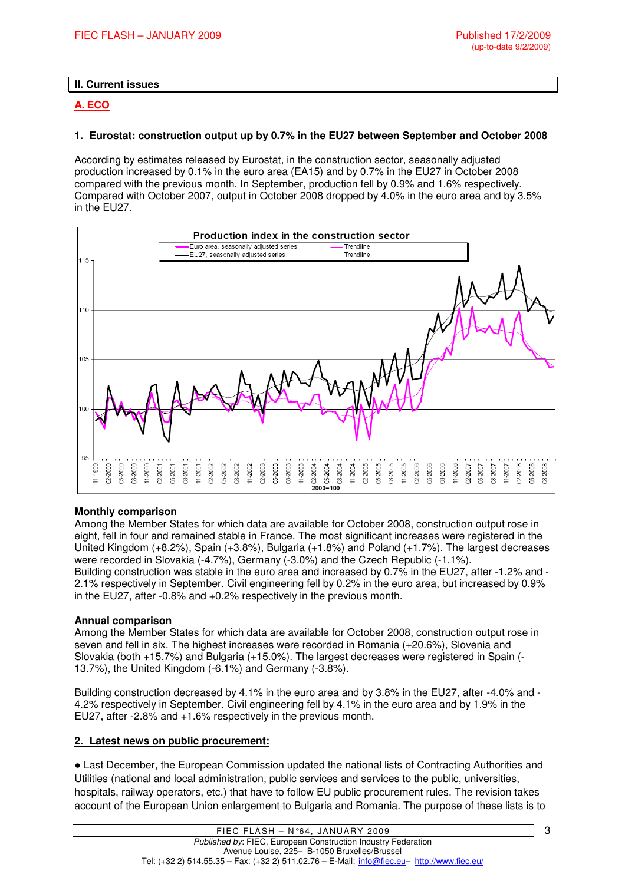## **II. Current issues**

## **A. ECO**

### **1. Eurostat: construction output up by 0.7% in the EU27 between September and October 2008**

According by estimates released by Eurostat, in the construction sector, seasonally adjusted production increased by 0.1% in the euro area (EA15) and by 0.7% in the EU27 in October 2008 compared with the previous month. In September, production fell by 0.9% and 1.6% respectively. Compared with October 2007, output in October 2008 dropped by 4.0% in the euro area and by 3.5% in the EU27.



#### **Monthly comparison**

Among the Member States for which data are available for October 2008, construction output rose in eight, fell in four and remained stable in France. The most significant increases were registered in the United Kingdom (+8.2%), Spain (+3.8%), Bulgaria (+1.8%) and Poland (+1.7%). The largest decreases were recorded in Slovakia (-4.7%), Germany (-3.0%) and the Czech Republic (-1.1%). Building construction was stable in the euro area and increased by 0.7% in the EU27, after -1.2% and - 2.1% respectively in September. Civil engineering fell by 0.2% in the euro area, but increased by 0.9% in the EU27, after -0.8% and +0.2% respectively in the previous month.

### **Annual comparison**

Among the Member States for which data are available for October 2008, construction output rose in seven and fell in six. The highest increases were recorded in Romania (+20.6%), Slovenia and Slovakia (both +15.7%) and Bulgaria (+15.0%). The largest decreases were registered in Spain (- 13.7%), the United Kingdom (-6.1%) and Germany (-3.8%).

Building construction decreased by 4.1% in the euro area and by 3.8% in the EU27, after -4.0% and - 4.2% respectively in September. Civil engineering fell by 4.1% in the euro area and by 1.9% in the EU27, after -2.8% and +1.6% respectively in the previous month.

### **2. Latest news on public procurement:**

● Last December, the European Commission updated the national lists of Contracting Authorities and Utilities (national and local administration, public services and services to the public, universities, hospitals, railway operators, etc.) that have to follow EU public procurement rules. The revision takes account of the European Union enlargement to Bulgaria and Romania. The purpose of these lists is to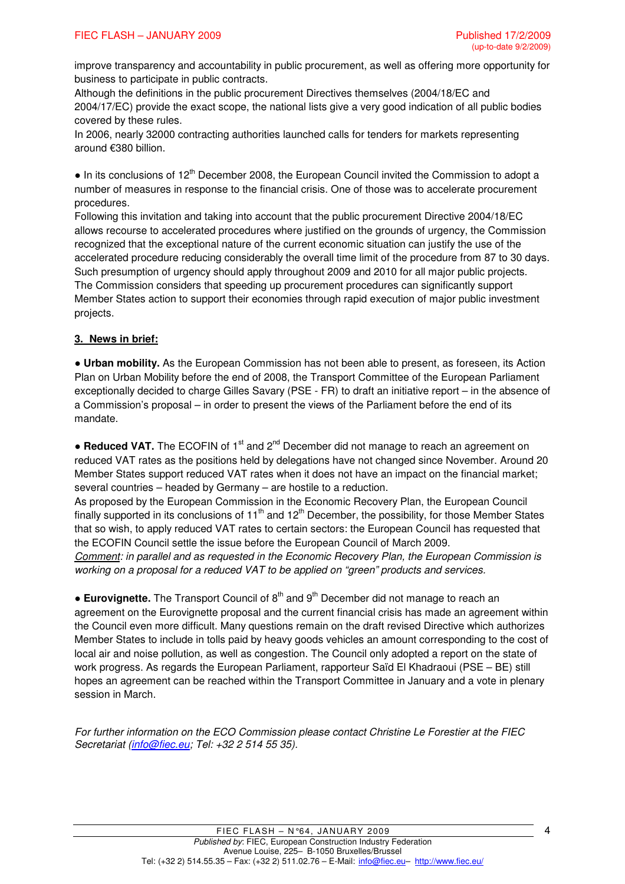improve transparency and accountability in public procurement, as well as offering more opportunity for business to participate in public contracts.

Although the definitions in the public procurement Directives themselves (2004/18/EC and 2004/17/EC) provide the exact scope, the national lists give a very good indication of all public bodies covered by these rules.

In 2006, nearly 32000 contracting authorities launched calls for tenders for markets representing around €380 billion.

 $\bullet$  In its conclusions of 12<sup>th</sup> December 2008, the European Council invited the Commission to adopt a number of measures in response to the financial crisis. One of those was to accelerate procurement procedures.

Following this invitation and taking into account that the public procurement Directive 2004/18/EC allows recourse to accelerated procedures where justified on the grounds of urgency, the Commission recognized that the exceptional nature of the current economic situation can justify the use of the accelerated procedure reducing considerably the overall time limit of the procedure from 87 to 30 days. Such presumption of urgency should apply throughout 2009 and 2010 for all major public projects. The Commission considers that speeding up procurement procedures can significantly support Member States action to support their economies through rapid execution of major public investment projects.

# **3. News in brief:**

● **Urban mobility.** As the European Commission has not been able to present, as foreseen, its Action Plan on Urban Mobility before the end of 2008, the Transport Committee of the European Parliament exceptionally decided to charge Gilles Savary (PSE - FR) to draft an initiative report – in the absence of a Commission's proposal – in order to present the views of the Parliament before the end of its mandate.

• Reduced VAT. The ECOFIN of 1<sup>st</sup> and 2<sup>nd</sup> December did not manage to reach an agreement on reduced VAT rates as the positions held by delegations have not changed since November. Around 20 Member States support reduced VAT rates when it does not have an impact on the financial market; several countries – headed by Germany – are hostile to a reduction.

As proposed by the European Commission in the Economic Recovery Plan, the European Council finally supported in its conclusions of 11<sup>th</sup> and 12<sup>th</sup> December, the possibility, for those Member States that so wish, to apply reduced VAT rates to certain sectors: the European Council has requested that the ECOFIN Council settle the issue before the European Council of March 2009.

Comment: in parallel and as requested in the Economic Recovery Plan, the European Commission is working on a proposal for a reduced VAT to be applied on "green" products and services.

• **Eurovignette.** The Transport Council of 8<sup>th</sup> and 9<sup>th</sup> December did not manage to reach an agreement on the Eurovignette proposal and the current financial crisis has made an agreement within the Council even more difficult. Many questions remain on the draft revised Directive which authorizes Member States to include in tolls paid by heavy goods vehicles an amount corresponding to the cost of local air and noise pollution, as well as congestion. The Council only adopted a report on the state of work progress. As regards the European Parliament, rapporteur Saïd El Khadraoui (PSE – BE) still hopes an agreement can be reached within the Transport Committee in January and a vote in plenary session in March.

For further information on the ECO Commission please contact Christine Le Forestier at the FIEC Secretariat (info@fiec.eu; Tel: +32 2 514 55 35).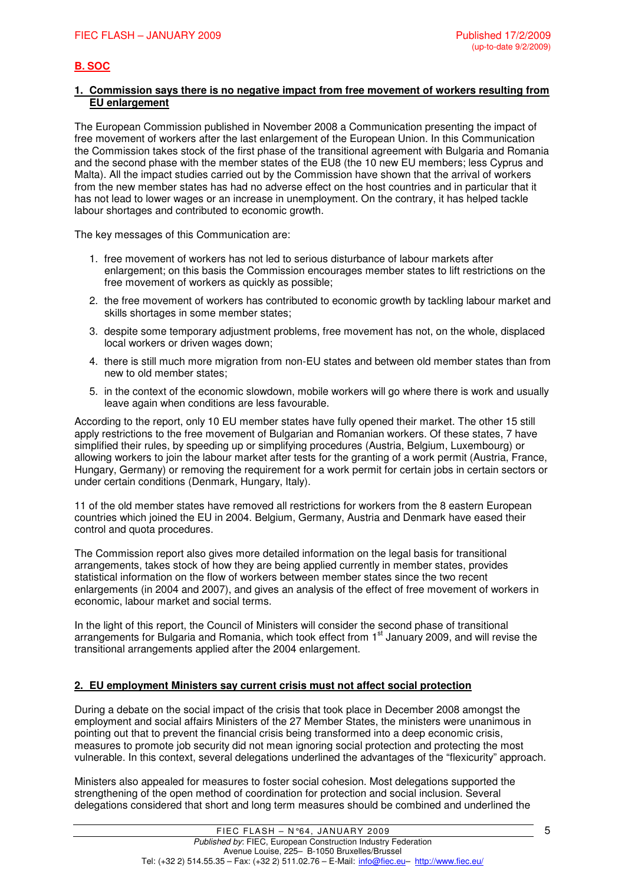# **B. SOC**

#### **1. Commission says there is no negative impact from free movement of workers resulting from EU enlargement**

The European Commission published in November 2008 a Communication presenting the impact of free movement of workers after the last enlargement of the European Union. In this Communication the Commission takes stock of the first phase of the transitional agreement with Bulgaria and Romania and the second phase with the member states of the EU8 (the 10 new EU members; less Cyprus and Malta). All the impact studies carried out by the Commission have shown that the arrival of workers from the new member states has had no adverse effect on the host countries and in particular that it has not lead to lower wages or an increase in unemployment. On the contrary, it has helped tackle labour shortages and contributed to economic growth.

The key messages of this Communication are:

- 1. free movement of workers has not led to serious disturbance of labour markets after enlargement; on this basis the Commission encourages member states to lift restrictions on the free movement of workers as quickly as possible;
- 2. the free movement of workers has contributed to economic growth by tackling labour market and skills shortages in some member states;
- 3. despite some temporary adjustment problems, free movement has not, on the whole, displaced local workers or driven wages down;
- 4. there is still much more migration from non-EU states and between old member states than from new to old member states;
- 5. in the context of the economic slowdown, mobile workers will go where there is work and usually leave again when conditions are less favourable.

According to the report, only 10 EU member states have fully opened their market. The other 15 still apply restrictions to the free movement of Bulgarian and Romanian workers. Of these states, 7 have simplified their rules, by speeding up or simplifying procedures (Austria, Belgium, Luxembourg) or allowing workers to join the labour market after tests for the granting of a work permit (Austria, France, Hungary, Germany) or removing the requirement for a work permit for certain jobs in certain sectors or under certain conditions (Denmark, Hungary, Italy).

11 of the old member states have removed all restrictions for workers from the 8 eastern European countries which joined the EU in 2004. Belgium, Germany, Austria and Denmark have eased their control and quota procedures.

The Commission report also gives more detailed information on the legal basis for transitional arrangements, takes stock of how they are being applied currently in member states, provides statistical information on the flow of workers between member states since the two recent enlargements (in 2004 and 2007), and gives an analysis of the effect of free movement of workers in economic, labour market and social terms.

In the light of this report, the Council of Ministers will consider the second phase of transitional arrangements for Bulgaria and Romania, which took effect from 1<sup>st</sup> January 2009, and will revise the transitional arrangements applied after the 2004 enlargement.

## **2. EU employment Ministers say current crisis must not affect social protection**

During a debate on the social impact of the crisis that took place in December 2008 amongst the employment and social affairs Ministers of the 27 Member States, the ministers were unanimous in pointing out that to prevent the financial crisis being transformed into a deep economic crisis, measures to promote job security did not mean ignoring social protection and protecting the most vulnerable. In this context, several delegations underlined the advantages of the "flexicurity" approach.

Ministers also appealed for measures to foster social cohesion. Most delegations supported the strengthening of the open method of coordination for protection and social inclusion. Several delegations considered that short and long term measures should be combined and underlined the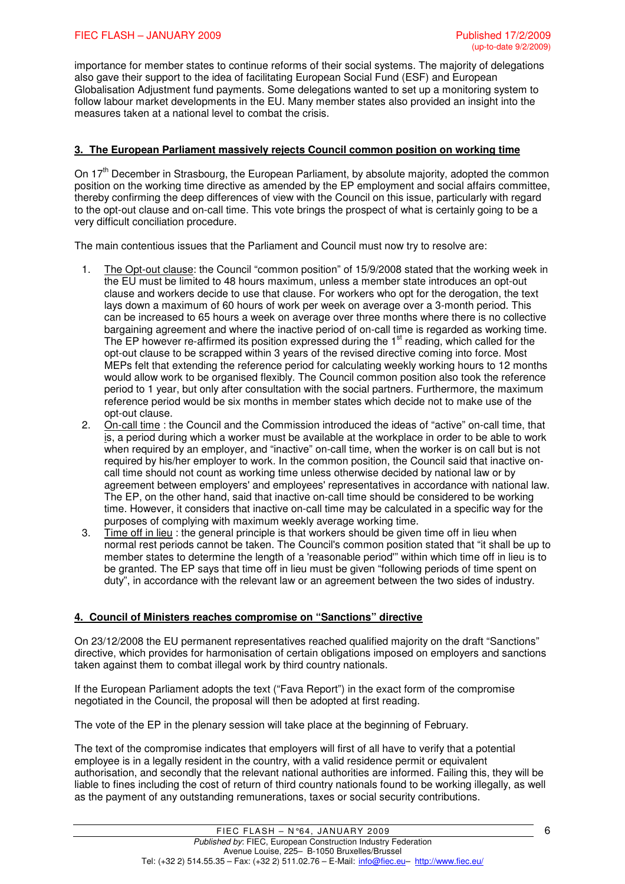importance for member states to continue reforms of their social systems. The majority of delegations also gave their support to the idea of facilitating European Social Fund (ESF) and European Globalisation Adjustment fund payments. Some delegations wanted to set up a monitoring system to follow labour market developments in the EU. Many member states also provided an insight into the measures taken at a national level to combat the crisis.

### **3. The European Parliament massively rejects Council common position on working time**

On  $17<sup>th</sup>$  December in Strasbourg, the European Parliament, by absolute majority, adopted the common position on the working time directive as amended by the EP employment and social affairs committee, thereby confirming the deep differences of view with the Council on this issue, particularly with regard to the opt-out clause and on-call time. This vote brings the prospect of what is certainly going to be a very difficult conciliation procedure.

The main contentious issues that the Parliament and Council must now try to resolve are:

- 1. The Opt-out clause: the Council "common position" of 15/9/2008 stated that the working week in the EU must be limited to 48 hours maximum, unless a member state introduces an opt-out clause and workers decide to use that clause. For workers who opt for the derogation, the text lays down a maximum of 60 hours of work per week on average over a 3-month period. This can be increased to 65 hours a week on average over three months where there is no collective bargaining agreement and where the inactive period of on-call time is regarded as working time. The EP however re-affirmed its position expressed during the 1<sup>st</sup> reading, which called for the opt-out clause to be scrapped within 3 years of the revised directive coming into force. Most MEPs felt that extending the reference period for calculating weekly working hours to 12 months would allow work to be organised flexibly. The Council common position also took the reference period to 1 year, but only after consultation with the social partners. Furthermore, the maximum reference period would be six months in member states which decide not to make use of the opt-out clause.
- 2. On-call time : the Council and the Commission introduced the ideas of "active" on-call time, that is, a period during which a worker must be available at the workplace in order to be able to work when required by an employer, and "inactive" on-call time, when the worker is on call but is not required by his/her employer to work. In the common position, the Council said that inactive oncall time should not count as working time unless otherwise decided by national law or by agreement between employers' and employees' representatives in accordance with national law. The EP, on the other hand, said that inactive on-call time should be considered to be working time. However, it considers that inactive on-call time may be calculated in a specific way for the purposes of complying with maximum weekly average working time.
- 3. Time off in lieu : the general principle is that workers should be given time off in lieu when normal rest periods cannot be taken. The Council's common position stated that "it shall be up to member states to determine the length of a 'reasonable period'" within which time off in lieu is to be granted. The EP says that time off in lieu must be given "following periods of time spent on duty", in accordance with the relevant law or an agreement between the two sides of industry.

### **4. Council of Ministers reaches compromise on "Sanctions" directive**

On 23/12/2008 the EU permanent representatives reached qualified majority on the draft "Sanctions" directive, which provides for harmonisation of certain obligations imposed on employers and sanctions taken against them to combat illegal work by third country nationals.

If the European Parliament adopts the text ("Fava Report") in the exact form of the compromise negotiated in the Council, the proposal will then be adopted at first reading.

The vote of the EP in the plenary session will take place at the beginning of February.

The text of the compromise indicates that employers will first of all have to verify that a potential employee is in a legally resident in the country, with a valid residence permit or equivalent authorisation, and secondly that the relevant national authorities are informed. Failing this, they will be liable to fines including the cost of return of third country nationals found to be working illegally, as well as the payment of any outstanding remunerations, taxes or social security contributions.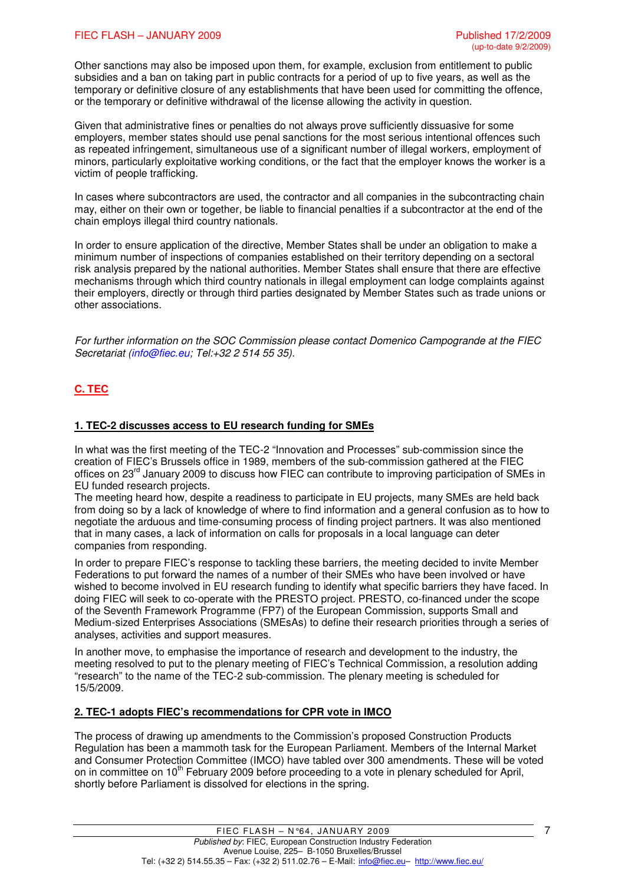#### FIEC FLASH – JANUARY 2009 Published 17/2/2009

Other sanctions may also be imposed upon them, for example, exclusion from entitlement to public subsidies and a ban on taking part in public contracts for a period of up to five years, as well as the temporary or definitive closure of any establishments that have been used for committing the offence, or the temporary or definitive withdrawal of the license allowing the activity in question.

Given that administrative fines or penalties do not always prove sufficiently dissuasive for some employers, member states should use penal sanctions for the most serious intentional offences such as repeated infringement, simultaneous use of a significant number of illegal workers, employment of minors, particularly exploitative working conditions, or the fact that the employer knows the worker is a victim of people trafficking.

In cases where subcontractors are used, the contractor and all companies in the subcontracting chain may, either on their own or together, be liable to financial penalties if a subcontractor at the end of the chain employs illegal third country nationals.

In order to ensure application of the directive, Member States shall be under an obligation to make a minimum number of inspections of companies established on their territory depending on a sectoral risk analysis prepared by the national authorities. Member States shall ensure that there are effective mechanisms through which third country nationals in illegal employment can lodge complaints against their employers, directly or through third parties designated by Member States such as trade unions or other associations.

For further information on the SOC Commission please contact Domenico Campogrande at the FIEC Secretariat (info@fiec.eu; Tel:+32 2 514 55 35).

# **C. TEC**

### **1. TEC-2 discusses access to EU research funding for SMEs**

In what was the first meeting of the TEC-2 "Innovation and Processes" sub-commission since the creation of FIEC's Brussels office in 1989, members of the sub-commission gathered at the FIEC offices on 23<sup>rd</sup> January 2009 to discuss how FIEC can contribute to improving participation of SMEs in EU funded research projects.

The meeting heard how, despite a readiness to participate in EU projects, many SMEs are held back from doing so by a lack of knowledge of where to find information and a general confusion as to how to negotiate the arduous and time-consuming process of finding project partners. It was also mentioned that in many cases, a lack of information on calls for proposals in a local language can deter companies from responding.

In order to prepare FIEC's response to tackling these barriers, the meeting decided to invite Member Federations to put forward the names of a number of their SMEs who have been involved or have wished to become involved in EU research funding to identify what specific barriers they have faced. In doing FIEC will seek to co-operate with the PRESTO project. PRESTO, co-financed under the scope of the Seventh Framework Programme (FP7) of the European Commission, supports Small and Medium-sized Enterprises Associations (SMEsAs) to define their research priorities through a series of analyses, activities and support measures.

In another move, to emphasise the importance of research and development to the industry, the meeting resolved to put to the plenary meeting of FIEC's Technical Commission, a resolution adding "research" to the name of the TEC-2 sub-commission. The plenary meeting is scheduled for 15/5/2009.

### **2. TEC-1 adopts FIEC's recommendations for CPR vote in IMCO**

The process of drawing up amendments to the Commission's proposed Construction Products Regulation has been a mammoth task for the European Parliament. Members of the Internal Market and Consumer Protection Committee (IMCO) have tabled over 300 amendments. These will be voted on in committee on 10<sup>th</sup> February 2009 before proceeding to a vote in plenary scheduled for April, shortly before Parliament is dissolved for elections in the spring.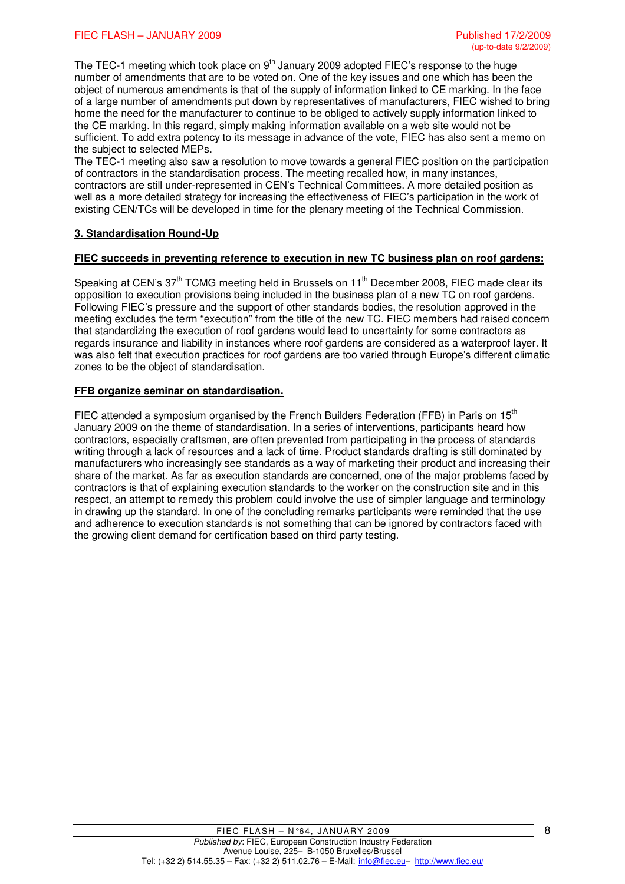The TEC-1 meeting which took place on  $9<sup>th</sup>$  January 2009 adopted FIEC's response to the huge number of amendments that are to be voted on. One of the key issues and one which has been the object of numerous amendments is that of the supply of information linked to CE marking. In the face of a large number of amendments put down by representatives of manufacturers, FIEC wished to bring home the need for the manufacturer to continue to be obliged to actively supply information linked to the CE marking. In this regard, simply making information available on a web site would not be sufficient. To add extra potency to its message in advance of the vote, FIEC has also sent a memo on the subject to selected MEPs.

The TEC-1 meeting also saw a resolution to move towards a general FIEC position on the participation of contractors in the standardisation process. The meeting recalled how, in many instances, contractors are still under-represented in CEN's Technical Committees. A more detailed position as well as a more detailed strategy for increasing the effectiveness of FIEC's participation in the work of existing CEN/TCs will be developed in time for the plenary meeting of the Technical Commission.

## **3. Standardisation Round-Up**

#### **FIEC succeeds in preventing reference to execution in new TC business plan on roof gardens:**

Speaking at CEN's  $37<sup>th</sup>$  TCMG meeting held in Brussels on  $11<sup>th</sup>$  December 2008. FIEC made clear its opposition to execution provisions being included in the business plan of a new TC on roof gardens. Following FIEC's pressure and the support of other standards bodies, the resolution approved in the meeting excludes the term "execution" from the title of the new TC. FIEC members had raised concern that standardizing the execution of roof gardens would lead to uncertainty for some contractors as regards insurance and liability in instances where roof gardens are considered as a waterproof layer. It was also felt that execution practices for roof gardens are too varied through Europe's different climatic zones to be the object of standardisation.

### **FFB organize seminar on standardisation.**

FIEC attended a symposium organised by the French Builders Federation (FFB) in Paris on  $15<sup>th</sup>$ January 2009 on the theme of standardisation. In a series of interventions, participants heard how contractors, especially craftsmen, are often prevented from participating in the process of standards writing through a lack of resources and a lack of time. Product standards drafting is still dominated by manufacturers who increasingly see standards as a way of marketing their product and increasing their share of the market. As far as execution standards are concerned, one of the major problems faced by contractors is that of explaining execution standards to the worker on the construction site and in this respect, an attempt to remedy this problem could involve the use of simpler language and terminology in drawing up the standard. In one of the concluding remarks participants were reminded that the use and adherence to execution standards is not something that can be ignored by contractors faced with the growing client demand for certification based on third party testing.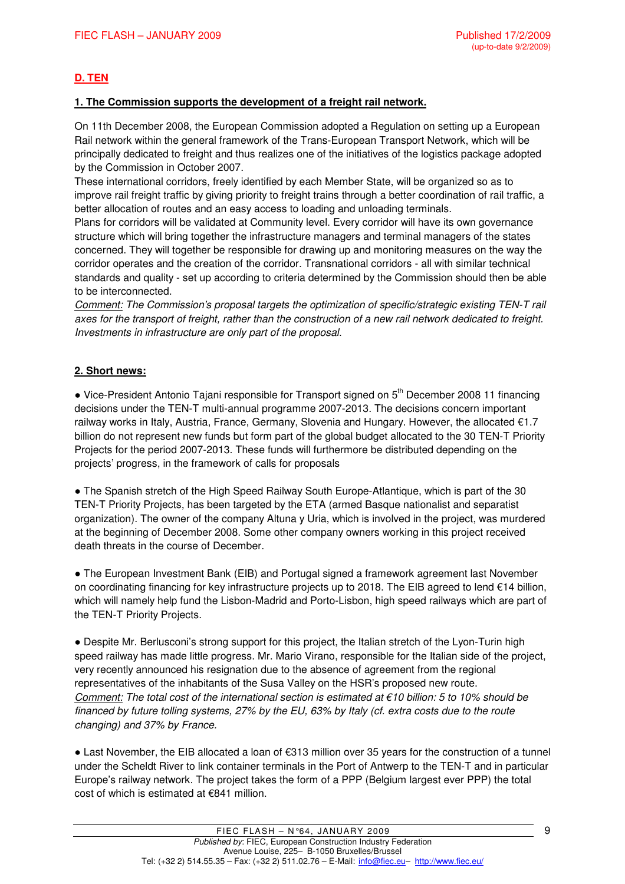# **D. TEN**

## **1. The Commission supports the development of a freight rail network.**

On 11th December 2008, the European Commission adopted a Regulation on setting up a European Rail network within the general framework of the Trans-European Transport Network, which will be principally dedicated to freight and thus realizes one of the initiatives of the logistics package adopted by the Commission in October 2007.

These international corridors, freely identified by each Member State, will be organized so as to improve rail freight traffic by giving priority to freight trains through a better coordination of rail traffic, a better allocation of routes and an easy access to loading and unloading terminals.

Plans for corridors will be validated at Community level. Every corridor will have its own governance structure which will bring together the infrastructure managers and terminal managers of the states concerned. They will together be responsible for drawing up and monitoring measures on the way the corridor operates and the creation of the corridor. Transnational corridors - all with similar technical standards and quality - set up according to criteria determined by the Commission should then be able to be interconnected.

Comment: The Commission's proposal targets the optimization of specific/strategic existing TEN-T rail axes for the transport of freight, rather than the construction of a new rail network dedicated to freight. Investments in infrastructure are only part of the proposal.

# **2. Short news:**

 $\bullet$  Vice-President Antonio Tajani responsible for Transport signed on  $5<sup>th</sup>$  December 2008 11 financing decisions under the TEN-T multi-annual programme 2007-2013. The decisions concern important railway works in Italy, Austria, France, Germany, Slovenia and Hungary. However, the allocated €1.7 billion do not represent new funds but form part of the global budget allocated to the 30 TEN-T Priority Projects for the period 2007-2013. These funds will furthermore be distributed depending on the projects' progress, in the framework of calls for proposals

• The Spanish stretch of the High Speed Railway South Europe-Atlantique, which is part of the 30 TEN-T Priority Projects, has been targeted by the ETA (armed Basque nationalist and separatist organization). The owner of the company Altuna y Uria, which is involved in the project, was murdered at the beginning of December 2008. Some other company owners working in this project received death threats in the course of December.

• The European Investment Bank (EIB) and Portugal signed a framework agreement last November on coordinating financing for key infrastructure projects up to 2018. The EIB agreed to lend €14 billion, which will namely help fund the Lisbon-Madrid and Porto-Lisbon, high speed railways which are part of the TEN-T Priority Projects.

• Despite Mr. Berlusconi's strong support for this project, the Italian stretch of the Lyon-Turin high speed railway has made little progress. Mr. Mario Virano, responsible for the Italian side of the project, very recently announced his resignation due to the absence of agreement from the regional representatives of the inhabitants of the Susa Valley on the HSR's proposed new route. Comment: The total cost of the international section is estimated at  $\epsilon$ 10 billion: 5 to 10% should be financed by future tolling systems, 27% by the EU, 63% by Italy (cf. extra costs due to the route changing) and 37% by France.

● Last November, the EIB allocated a loan of €313 million over 35 years for the construction of a tunnel under the Scheldt River to link container terminals in the Port of Antwerp to the TEN-T and in particular Europe's railway network. The project takes the form of a PPP (Belgium largest ever PPP) the total cost of which is estimated at €841 million.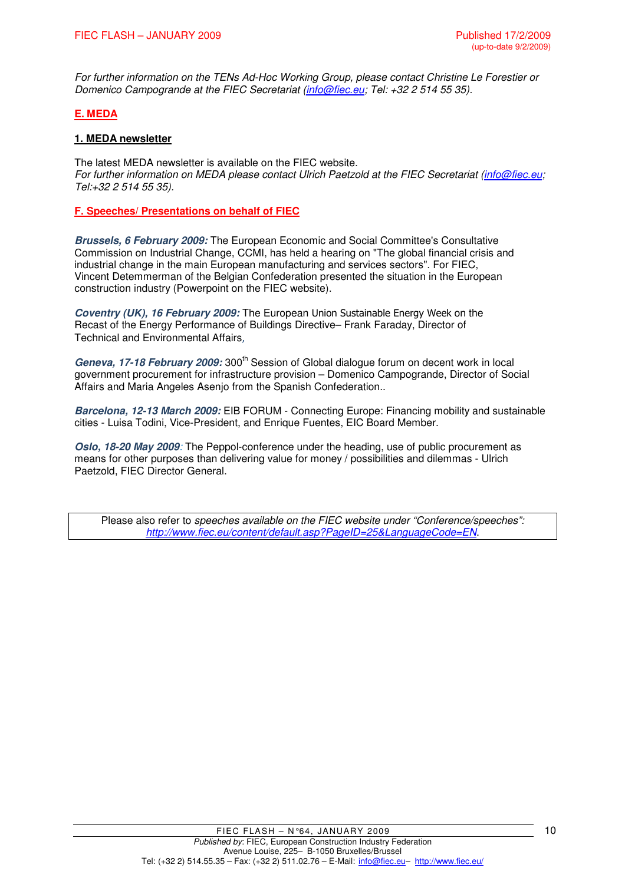For further information on the TENs Ad-Hoc Working Group, please contact Christine Le Forestier or Domenico Campogrande at the FIEC Secretariat (info@fiec.eu; Tel: +32 2 514 55 35).

## **E. MEDA**

## **1. MEDA newsletter**

The latest MEDA newsletter is available on the FIEC website. For further information on MEDA please contact Ulrich Paetzold at the FIEC Secretariat (info@fiec.eu; Tel:+32 2 514 55 35).

**F. Speeches/ Presentations on behalf of FIEC**

**Brussels, 6 February 2009:** The European Economic and Social Committee's Consultative Commission on Industrial Change, CCMI, has held a hearing on "The global financial crisis and industrial change in the main European manufacturing and services sectors". For FIEC, Vincent Detemmerman of the Belgian Confederation presented the situation in the European construction industry (Powerpoint on the FIEC website).

**Coventry (UK), 16 February 2009:** The European Union Sustainable Energy Week on the Recast of the Energy Performance of Buildings Directive– Frank Faraday, Director of Technical and Environmental Affairs,

Geneva, 17-18 February 2009; 300<sup>th</sup> Session of Global dialogue forum on decent work in local government procurement for infrastructure provision – Domenico Campogrande, Director of Social Affairs and Maria Angeles Asenjo from the Spanish Confederation..

**Barcelona, 12-13 March 2009:** EIB FORUM - Connecting Europe: Financing mobility and sustainable cities - Luisa Todini, Vice-President, and Enrique Fuentes, EIC Board Member.

**Oslo, 18-20 May 2009**: The Peppol-conference under the heading, use of public procurement as means for other purposes than delivering value for money / possibilities and dilemmas - Ulrich Paetzold, FIEC Director General.

Please also refer to speeches available on the FIEC website under "Conference/speeches": http://www.fiec.eu/content/default.asp?PageID=25&LanguageCode=EN.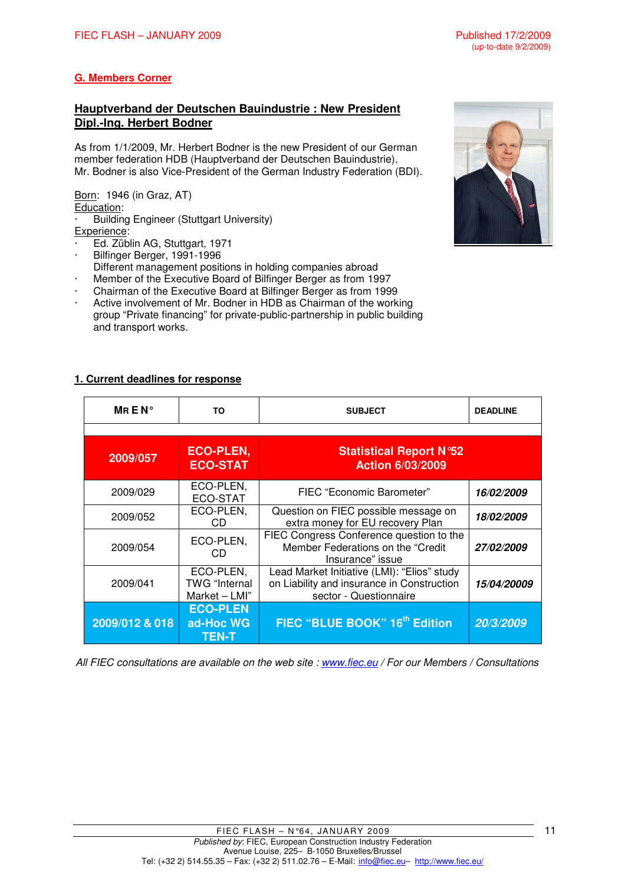# **G. Members Corner**

## **Hauptverband der Deutschen Bauindustrie : New President Dipl.-Ing. Herbert Bodner**

As from 1/1/2009, Mr. Herbert Bodner is the new President of our German member federation HDB (Hauptverband der Deutschen Bauindustrie). Mr. Bodner is also Vice-President of the German Industry Federation (BDI).

Born: 1946 (in Graz, AT) Education: Building Engineer (Stuttgart University)

#### Experience:

- Ed. Züblin AG, Stuttgart, 1971
- Bilfinger Berger, 1991-1996
- Different management positions in holding companies abroad
- Member of the Executive Board of Bilfinger Berger as from 1997
- Chairman of the Executive Board at Bilfinger Berger as from 1999
- Active involvement of Mr. Bodner in HDB as Chairman of the working group "Private financing" for private-public-partnership in public building and transport works.

## **1. Current deadlines for response**

| MREN $^{\circ}$ | ΤO                                                 | <b>SUBJECT</b>                                                                                                                | <b>DEADLINE</b>           |
|-----------------|----------------------------------------------------|-------------------------------------------------------------------------------------------------------------------------------|---------------------------|
|                 |                                                    |                                                                                                                               |                           |
| 2009/057        | <b>ECO-PLEN,</b><br><b>ECO-STAT</b>                | <b>Statistical Report N°52</b><br><b>Action 6/03/2009</b>                                                                     |                           |
| 2009/029        | ECO-PLEN,<br>ECO-STAT                              | FIEC "Economic Barometer"                                                                                                     | <i><b>16/02/2009</b></i>  |
| 2009/052        | ECO-PLEN,<br>CD                                    | Question on FIEC possible message on<br>extra money for EU recovery Plan                                                      | <i><b>18/02/2009</b></i>  |
| 2009/054        | ECO-PLEN,<br>CD.                                   | FIEC Congress Conference question to the<br>Member Federations on the "Credit<br><i><b>27/02/2009</b></i><br>Insurance" issue |                           |
| 2009/041        | ECO-PLEN,<br><b>TWG</b> "Internal<br>Market - LMI" | Lead Market Initiative (LMI): "Elios" study<br>on Liability and insurance in Construction<br>sector - Questionnaire           | <i><b>15/04/20009</b></i> |
| 2009/012 & 018  | <b>ECO-PLEN</b><br>ad-Hoc WG<br><b>TEN-T</b>       | FIEC "BLUE BOOK" 16 <sup>th</sup> Edition                                                                                     | 20/3/2009                 |

All FIEC consultations are available on the web site : www.fiec.eu / For our Members / Consultations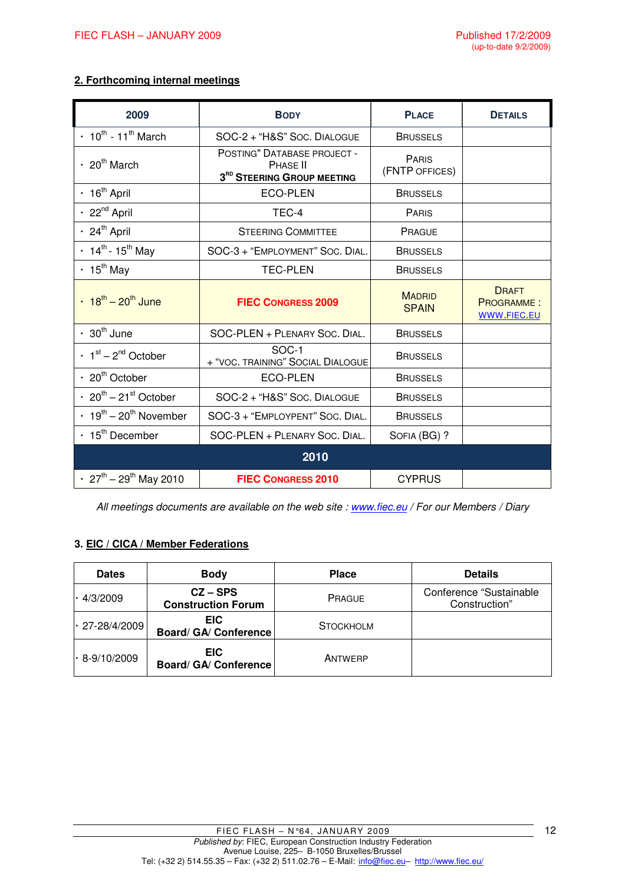## **2. Forthcoming internal meetings**

| 2009                                                 | <b>BODY</b>                                                                       | <b>PLACE</b>                   | <b>DETAILS</b>                                   |  |
|------------------------------------------------------|-----------------------------------------------------------------------------------|--------------------------------|--------------------------------------------------|--|
| $\cdot$ 10 <sup>th</sup> - 11 <sup>th</sup> March    | SOC-2 + "H&S" Soc. DIALOGUE                                                       | <b>BRUSSELS</b>                |                                                  |  |
| $\cdot$ 20 <sup>th</sup> March                       | POSTING" DATABASE PROJECT -<br>PHASE II<br>3 <sup>RD</sup> STEERING GROUP MEETING | <b>PARIS</b><br>(FNTP OFFICES) |                                                  |  |
| $\cdot$ 16 <sup>th</sup> April                       | <b>ECO-PLEN</b>                                                                   | <b>BRUSSELS</b>                |                                                  |  |
| $\cdot$ 22 <sup>nd</sup> April                       | TEC-4                                                                             | <b>PARIS</b>                   |                                                  |  |
| $\cdot$ 24 <sup>th</sup> April                       | <b>STEERING COMMITTEE</b>                                                         | PRAGUE                         |                                                  |  |
| $\cdot$ 14 <sup>th</sup> - 15 <sup>th</sup> May      | SOC-3 + "EMPLOYMENT" SOC. DIAL.                                                   | <b>BRUSSELS</b>                |                                                  |  |
| $\cdot$ 15 <sup>th</sup> May                         | <b>TEC-PLEN</b>                                                                   | <b>BRUSSELS</b>                |                                                  |  |
| $\cdot$ 18 <sup>th</sup> – 20 <sup>th</sup> June     | <b>FIEC CONGRESS 2009</b>                                                         | <b>MADRID</b><br><b>SPAIN</b>  | <b>DRAFT</b><br><b>PROGRAMME:</b><br>WWW.FIEC.EU |  |
| $\cdot$ 30 <sup>th</sup> June                        | SOC-PLEN + PLENARY SOC. DIAL.                                                     | <b>BRUSSELS</b>                |                                                  |  |
| $\cdot$ 1 <sup>st</sup> – 2 <sup>nd</sup> October    | SOC-1<br>+ "VOC. TRAINING" SOCIAL DIALOGUE                                        | <b>BRUSSELS</b>                |                                                  |  |
| $\cdot$ 20 <sup>th</sup> October                     | <b>ECO-PLEN</b>                                                                   | <b>BRUSSELS</b>                |                                                  |  |
| $\cdot$ 20 <sup>th</sup> – 21 <sup>st</sup> October  | SOC-2 + "H&S" Soc. DIALOGUE                                                       | <b>BRUSSELS</b>                |                                                  |  |
| $\cdot$ 19 <sup>th</sup> – 20 <sup>th</sup> November | SOC-3 + "EMPLOYPENT" SOC. DIAL.                                                   | <b>BRUSSELS</b>                |                                                  |  |
| $\cdot$ 15 <sup>th</sup> December                    | SOC-PLEN + PLENARY SOC. DIAL.                                                     | SOFIA (BG) ?                   |                                                  |  |
|                                                      | 2010                                                                              |                                |                                                  |  |
| $\cdot$ 27 <sup>th</sup> – 29 <sup>th</sup> May 2010 | <b>FIEC CONGRESS 2010</b>                                                         | <b>CYPRUS</b>                  |                                                  |  |

All meetings documents are available on the web site : www.fiec.eu / For our Members / Diary

## **3. EIC / CICA / Member Federations**

| <b>Dates</b>         | <b>Body</b>                             | <b>Place</b>     | <b>Details</b>                            |
|----------------------|-----------------------------------------|------------------|-------------------------------------------|
| $\cdot$ 4/3/2009     | $CZ - SPS$<br><b>Construction Forum</b> | <b>PRAGUE</b>    | Conference "Sustainable"<br>Construction" |
| $\cdot$ 27-28/4/2009 | <b>EIC</b><br>Board/ GA/ Conference     | <b>STOCKHOLM</b> |                                           |
| $\cdot$ 8-9/10/2009  | EIC.<br>Board/ GA/ Conference           | ANTWERP          |                                           |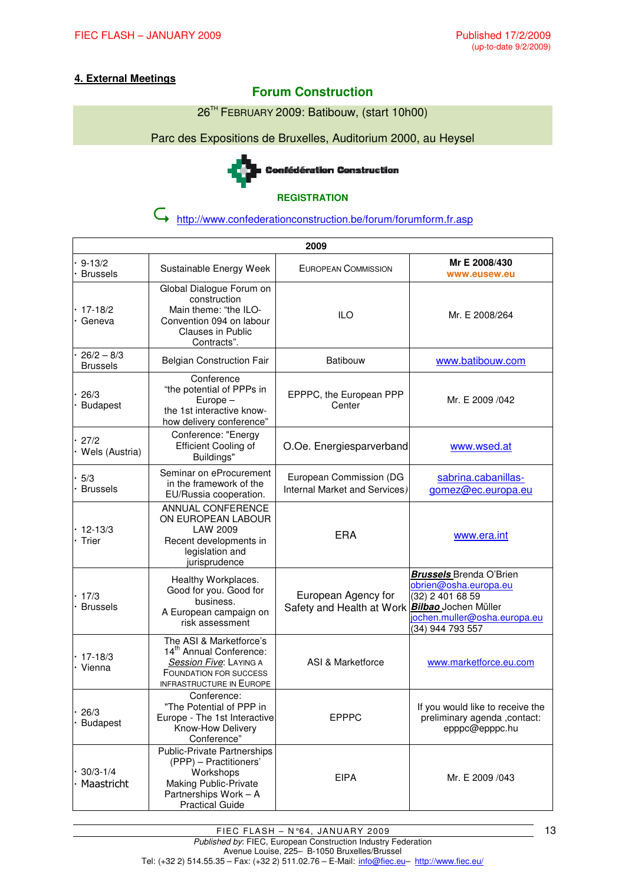# **4. External Meetings**

# **Forum Construction**

26<sup>™</sup> FEBRUARY 2009: Batibouw, (start 10h00)

Parc des Expositions de Bruxelles, Auditorium 2000, au Heysel



#### **REGISTRATION**

http://www.confederationconstruction.be/forum/forumform.fr.asp

| 2009                            |                                                                                                                                                              |                                                          |                                                                                                                                                         |  |
|---------------------------------|--------------------------------------------------------------------------------------------------------------------------------------------------------------|----------------------------------------------------------|---------------------------------------------------------------------------------------------------------------------------------------------------------|--|
| $9 - 13/2$<br><b>Brussels</b>   | Sustainable Energy Week                                                                                                                                      | EUROPEAN COMMISSION                                      | Mr E 2008/430<br>www.eusew.eu                                                                                                                           |  |
| 17-18/2<br>Geneva               | Global Dialogue Forum on<br>construction<br>Main theme: "the ILO-<br>Convention 094 on labour<br><b>Clauses in Public</b><br>Contracts".                     | <b>ILO</b>                                               | Mr. E 2008/264                                                                                                                                          |  |
| $26/2 - 8/3$<br><b>Brussels</b> | <b>Belgian Construction Fair</b>                                                                                                                             | <b>Batibouw</b>                                          | www.batibouw.com                                                                                                                                        |  |
| 26/3<br><b>Budapest</b>         | Conference<br>"the potential of PPPs in<br>Europe-<br>the 1st interactive know-<br>how delivery conference"                                                  | EPPPC, the European PPP<br>Center                        | Mr. E 2009 /042                                                                                                                                         |  |
| 27/2<br>Wels (Austria)          | Conference: "Energy<br>Efficient Cooling of<br>Buildings"                                                                                                    | O.Oe. Energiesparverband                                 | www.wsed.at                                                                                                                                             |  |
| 5/3<br><b>Brussels</b>          | Seminar on eProcurement<br>in the framework of the<br>EU/Russia cooperation.                                                                                 | European Commission (DG<br>Internal Market and Services) | sabrina.cabanillas-<br>gomez@ec.europa.eu                                                                                                               |  |
| $12 - 13/3$<br>Trier            | ANNUAL CONFERENCE<br>ON EUROPEAN LABOUR<br>LAW 2009<br>Recent developments in<br>legislation and<br>jurisprudence                                            | <b>ERA</b>                                               | www.era.int                                                                                                                                             |  |
| 17/3<br><b>Brussels</b>         | Healthy Workplaces.<br>Good for you. Good for<br>business.<br>A European campaign on<br>risk assessment                                                      | European Agency for<br>Safety and Health at Work         | <b>Brussels</b> Brenda O'Brien<br>obrien@osha.europa.eu<br>(32) 2 401 68 59<br>Bilbao Jochen Müller<br>iochen.muller@osha.europa.eu<br>(34) 944 793 557 |  |
| $17 - 18/3$<br>Vienna           | The ASI & Marketforce's<br>14 <sup>th</sup> Annual Conference:<br>Session Five: LAYING A<br><b>FOUNDATION FOR SUCCESS</b><br><b>INFRASTRUCTURE IN EUROPE</b> | ASI & Marketforce                                        | www.marketforce.eu.com                                                                                                                                  |  |
| 26/3<br><b>Budapest</b>         | Conference:<br>"The Potential of PPP in<br>Europe - The 1st Interactive<br>Know-How Delivery<br>Conference"                                                  | <b>EPPPC</b>                                             | If you would like to receive the<br>preliminary agenda, contact:<br>epppc@epppc.hu                                                                      |  |
| $30/3 - 1/4$<br>Maastricht      | <b>Public-Private Partnerships</b><br>(PPP) - Practitioners'<br>Workshops<br><b>Making Public-Private</b><br>Partnerships Work - A<br><b>Practical Guide</b> | <b>EIPA</b>                                              | Mr. E 2009 /043                                                                                                                                         |  |